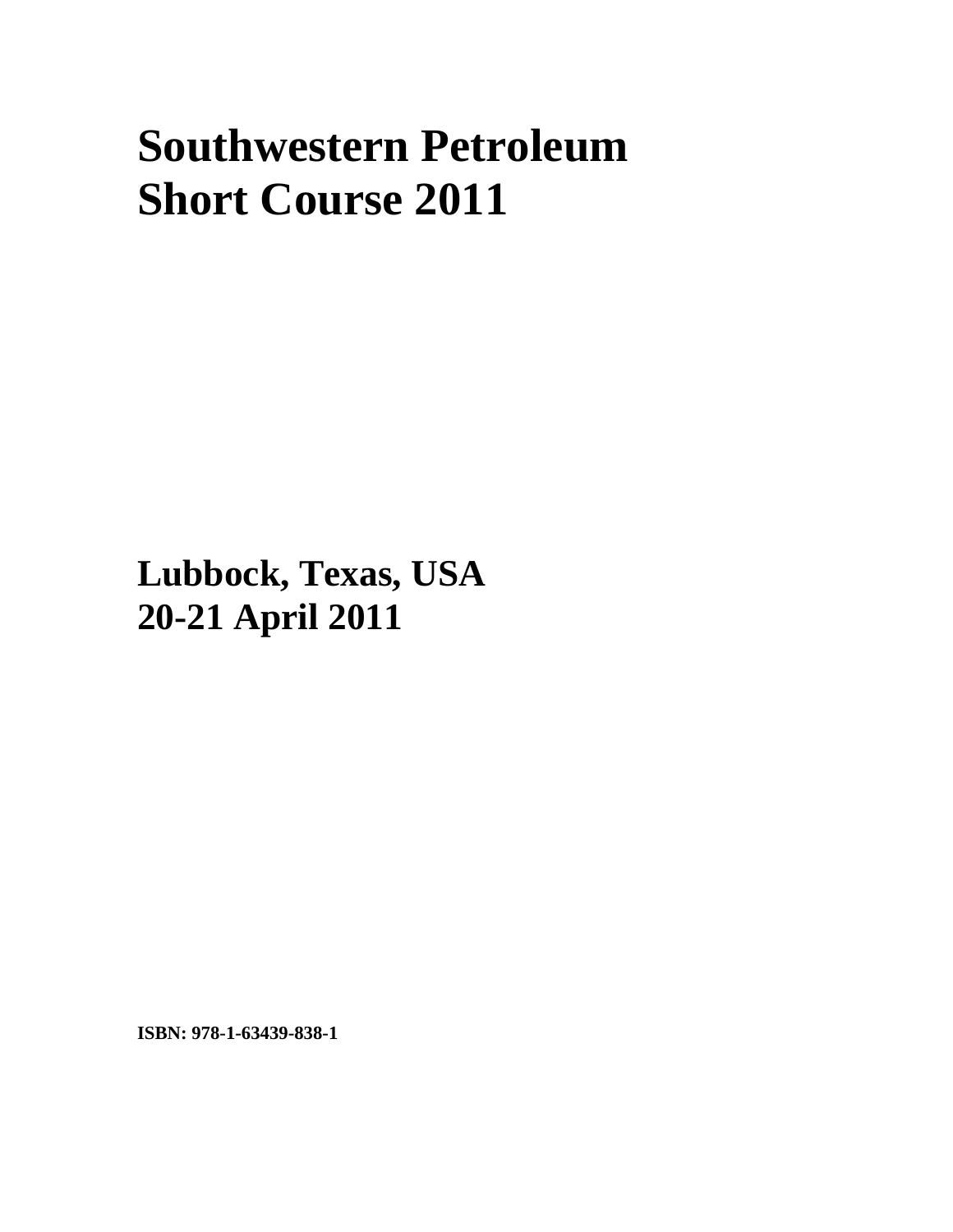## **Southwestern Petroleum Short Course 2011**

**Lubbock, Texas, USA 20-21 April 2011**

**ISBN: 978-1-63439-838-1**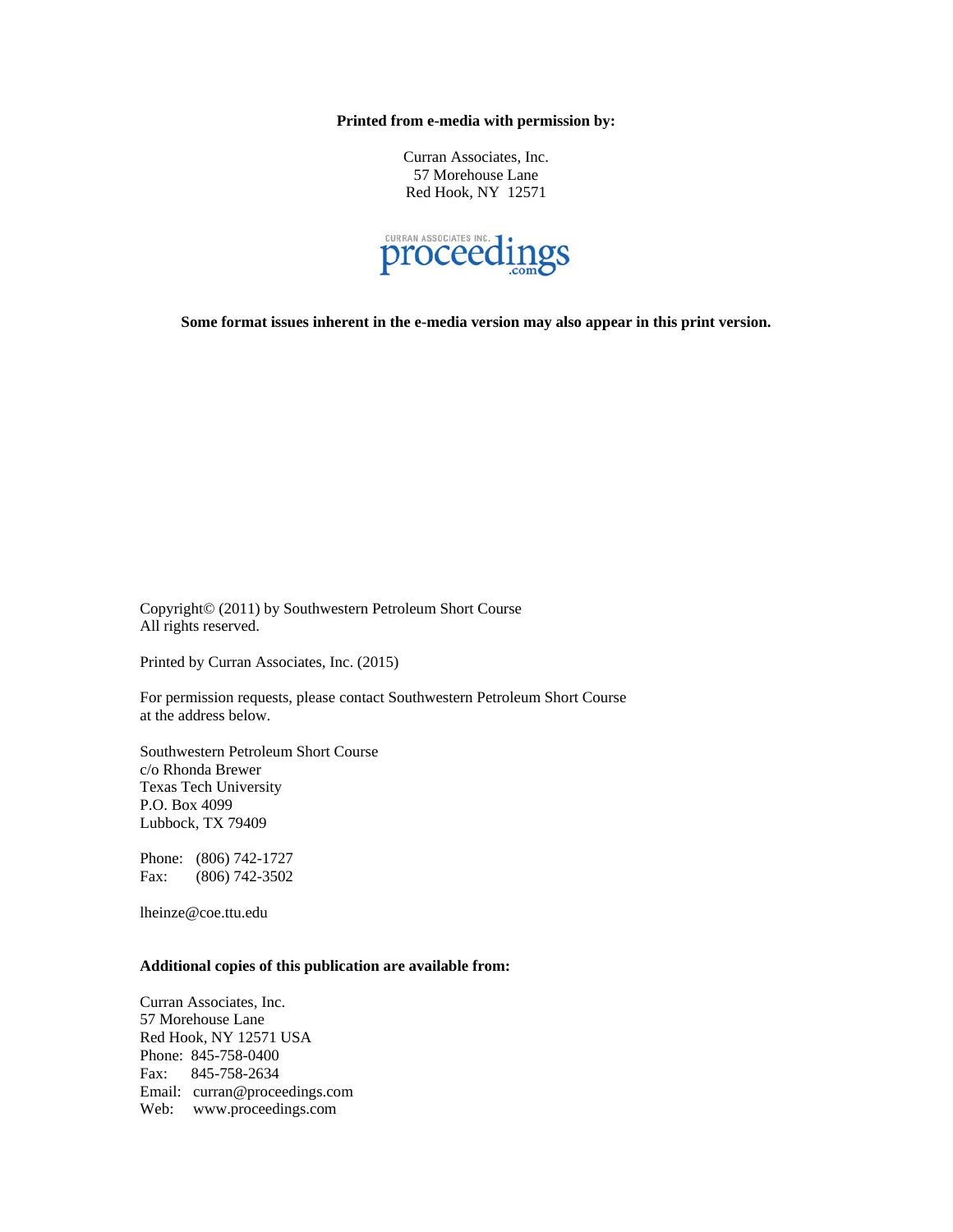**Printed from e-media with permission by:** 

Curran Associates, Inc. 57 Morehouse Lane Red Hook, NY 12571



**Some format issues inherent in the e-media version may also appear in this print version.** 

Copyright© (2011) by Southwestern Petroleum Short Course All rights reserved.

Printed by Curran Associates, Inc. (2015)

For permission requests, please contact Southwestern Petroleum Short Course at the address below.

Southwestern Petroleum Short Course c/o Rhonda Brewer Texas Tech University P.O. Box 4099 Lubbock, TX 79409

Phone: (806) 742-1727 Fax: (806) 742-3502

lheinze@coe.ttu.edu

## **Additional copies of this publication are available from:**

Curran Associates, Inc. 57 Morehouse Lane Red Hook, NY 12571 USA Phone: 845-758-0400 Fax: 845-758-2634 Email: curran@proceedings.com Web: www.proceedings.com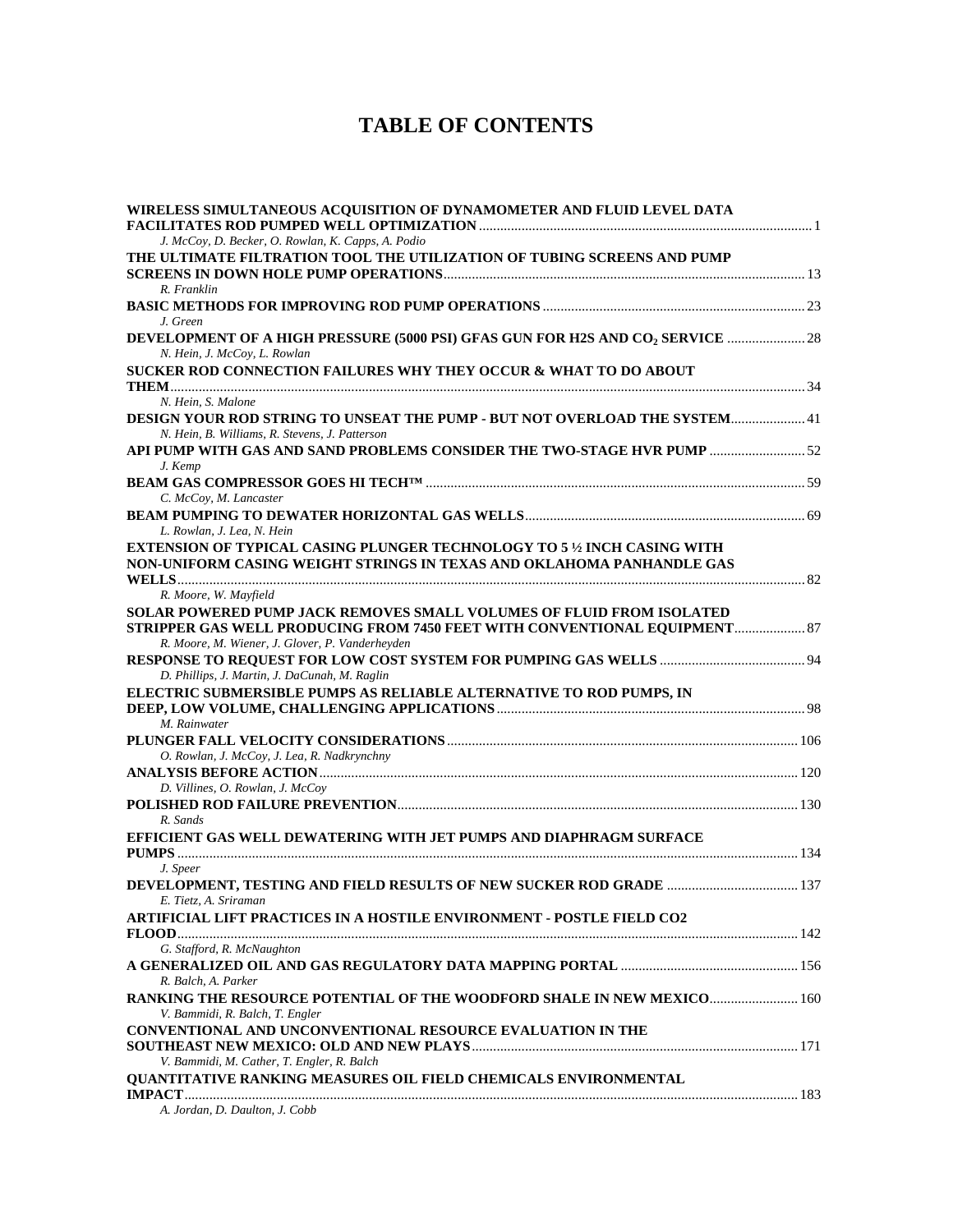## **TABLE OF CONTENTS**

| WIRELESS SIMULTANEOUS ACQUISITION OF DYNAMOMETER AND FLUID LEVEL DATA<br>J. McCoy, D. Becker, O. Rowlan, K. Capps, A. Podio                                                                          |  |
|------------------------------------------------------------------------------------------------------------------------------------------------------------------------------------------------------|--|
| THE ULTIMATE FILTRATION TOOL THE UTILIZATION OF TUBING SCREENS AND PUMP                                                                                                                              |  |
| R. Franklin                                                                                                                                                                                          |  |
| J. Green                                                                                                                                                                                             |  |
| DEVELOPMENT OF A HIGH PRESSURE (5000 PSI) GFAS GUN FOR H2S AND CO <sub>2</sub> SERVICE  28<br>N. Hein, J. McCoy, L. Rowlan                                                                           |  |
| SUCKER ROD CONNECTION FAILURES WHY THEY OCCUR & WHAT TO DO ABOUT                                                                                                                                     |  |
| N. Hein, S. Malone                                                                                                                                                                                   |  |
| DESIGN YOUR ROD STRING TO UNSEAT THE PUMP - BUT NOT OVERLOAD THE SYSTEM 41<br>N. Hein, B. Williams, R. Stevens, J. Patterson                                                                         |  |
| API PUMP WITH GAS AND SAND PROBLEMS CONSIDER THE TWO-STAGE HVR PUMP  52<br>J. Kemp                                                                                                                   |  |
|                                                                                                                                                                                                      |  |
| C. McCoy, M. Lancaster                                                                                                                                                                               |  |
|                                                                                                                                                                                                      |  |
| L. Rowlan, J. Lea, N. Hein                                                                                                                                                                           |  |
| EXTENSION OF TYPICAL CASING PLUNGER TECHNOLOGY TO 5 1/2 INCH CASING WITH                                                                                                                             |  |
| NON-UNIFORM CASING WEIGHT STRINGS IN TEXAS AND OKLAHOMA PANHANDLE GAS                                                                                                                                |  |
|                                                                                                                                                                                                      |  |
| R. Moore, W. Mayfield                                                                                                                                                                                |  |
| SOLAR POWERED PUMP JACK REMOVES SMALL VOLUMES OF FLUID FROM ISOLATED<br>STRIPPER GAS WELL PRODUCING FROM 7450 FEET WITH CONVENTIONAL EQUIPMENT 87<br>R. Moore, M. Wiener, J. Glover, P. Vanderheyden |  |
| D. Phillips, J. Martin, J. DaCunah, M. Raglin                                                                                                                                                        |  |
| ELECTRIC SUBMERSIBLE PUMPS AS RELIABLE ALTERNATIVE TO ROD PUMPS, IN                                                                                                                                  |  |
| M. Rainwater                                                                                                                                                                                         |  |
|                                                                                                                                                                                                      |  |
| O. Rowlan, J. McCoy, J. Lea, R. Nadkrynchny                                                                                                                                                          |  |
|                                                                                                                                                                                                      |  |
| D. Villines, O. Rowlan, J. McCoy                                                                                                                                                                     |  |
|                                                                                                                                                                                                      |  |
| R. Sands                                                                                                                                                                                             |  |
| EFFICIENT GAS WELL DEWATERING WITH JET PUMPS AND DIAPHRAGM SURFACE                                                                                                                                   |  |
|                                                                                                                                                                                                      |  |
| J. Speer                                                                                                                                                                                             |  |
| E. Tietz, A. Sriraman                                                                                                                                                                                |  |
| <b>ARTIFICIAL LIFT PRACTICES IN A HOSTILE ENVIRONMENT - POSTLE FIELD CO2</b>                                                                                                                         |  |
|                                                                                                                                                                                                      |  |
| G. Stafford, R. McNaughton                                                                                                                                                                           |  |
| R. Balch, A. Parker                                                                                                                                                                                  |  |
| RANKING THE RESOURCE POTENTIAL OF THE WOODFORD SHALE IN NEW MEXICO 160                                                                                                                               |  |
| V. Bammidi, R. Balch, T. Engler                                                                                                                                                                      |  |
| CONVENTIONAL AND UNCONVENTIONAL RESOURCE EVALUATION IN THE                                                                                                                                           |  |
|                                                                                                                                                                                                      |  |
| V. Bammidi, M. Cather, T. Engler, R. Balch                                                                                                                                                           |  |
| <b>QUANTITATIVE RANKING MEASURES OIL FIELD CHEMICALS ENVIRONMENTAL</b>                                                                                                                               |  |
| A. Jordan, D. Daulton, J. Cobb                                                                                                                                                                       |  |
|                                                                                                                                                                                                      |  |